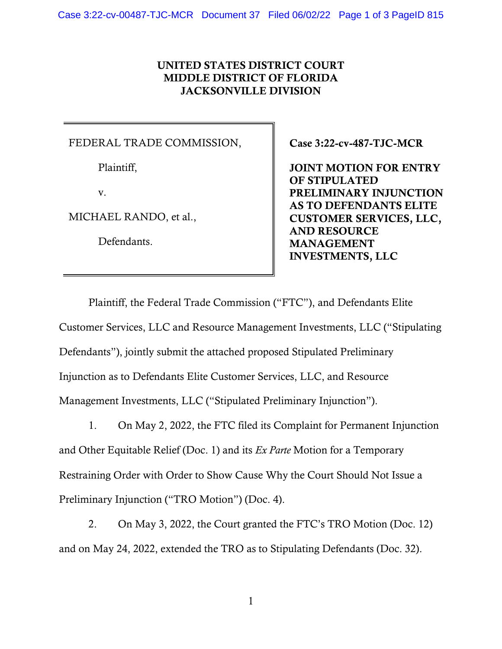# UNITED STATES DISTRICT COURT MIDDLE DISTRICT OF FLORIDA JACKSONVILLE DIVISION

## FEDERAL TRADE COMMISSION,

Plaintiff,

v.

MICHAEL RANDO, et al.,

Defendants.

Case 3:22-cv-487-TJC-MCR

JOINT MOTION FOR ENTRY OF STIPULATED PRELIMINARY INJUNCTION AS TO DEFENDANTS ELITE CUSTOMER SERVICES, LLC, AND RESOURCE MANAGEMENT INVESTMENTS, LLC

Plaintiff, the Federal Trade Commission ("FTC"), and Defendants Elite Customer Services, LLC and Resource Management Investments, LLC ("Stipulating Defendants"), jointly submit the attached proposed Stipulated Preliminary Injunction as to Defendants Elite Customer Services, LLC, and Resource Management Investments, LLC ("Stipulated Preliminary Injunction").

1. On May 2, 2022, the FTC filed its Complaint for Permanent Injunction and Other Equitable Relief (Doc. 1) and its *Ex Parte* Motion for a Temporary Restraining Order with Order to Show Cause Why the Court Should Not Issue a Preliminary Injunction ("TRO Motion") (Doc. 4).

2. On May 3, 2022, the Court granted the FTC's TRO Motion (Doc. 12) and on May 24, 2022, extended the TRO as to Stipulating Defendants (Doc. 32).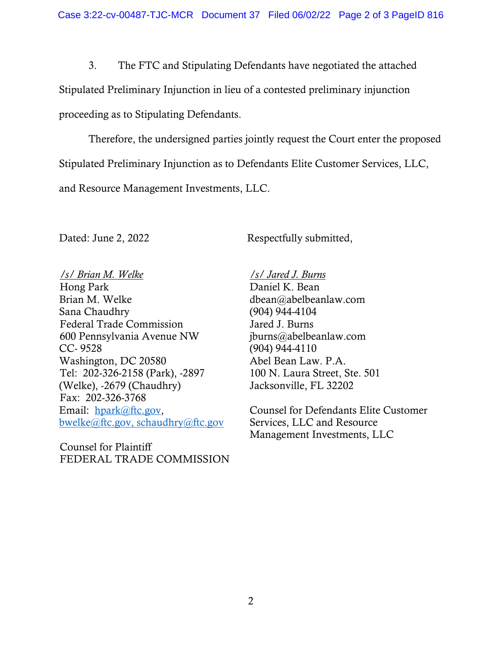3. The FTC and Stipulating Defendants have negotiated the attached Stipulated Preliminary Injunction in lieu of a contested preliminary injunction proceeding as to Stipulating Defendants.

Therefore, the undersigned parties jointly request the Court enter the proposed Stipulated Preliminary Injunction as to Defendants Elite Customer Services, LLC, and Resource Management Investments, LLC.

Dated: June 2, 2022 Respectfully submitted,

*/s/ Brian M. Welke* Hong Park Brian M. Welke Sana Chaudhry Federal Trade Commission 600 Pennsylvania Avenue NW CC- 9528 Washington, DC 20580 Tel: 202-326-2158 (Park), -2897 (Welke), -2679 (Chaudhry) Fax: 202-326-3768 Email: [hpark@ftc.gov,](mailto:hpark@ftc.gov) [bwelke@ftc.gov,](mailto:bwelke@ftc.gov) schaudhry@ftc.gov

Counsel for Plaintiff FEDERAL TRADE COMMISSION */s/ Jared J. Burns*  Daniel K. Bean dbean@abelbeanlaw.com (904) 944-4104 Jared J. Burns jburns@abelbeanlaw.com (904) 944-4110 Abel Bean Law. P.A. 100 N. Laura Street, Ste. 501 Jacksonville, FL 32202

Counsel for Defendants Elite Customer Services, LLC and Resource Management Investments, LLC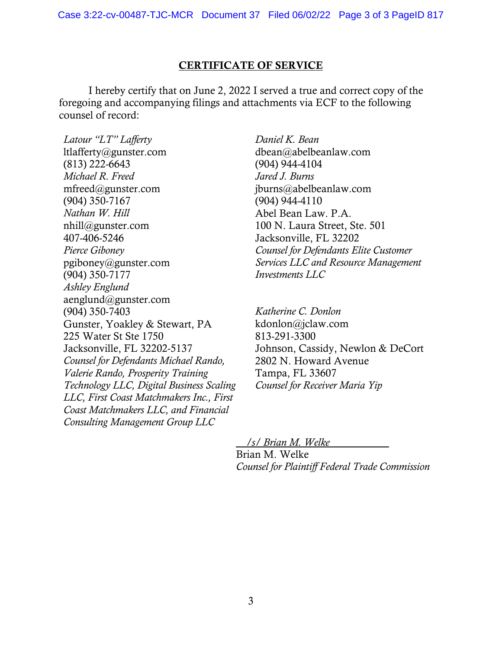## CERTIFICATE OF SERVICE

I hereby certify that on June 2, 2022 I served a true and correct copy of the foregoing and accompanying filings and attachments via ECF to the following counsel of record:

*Latour "LT" Lafferty* ltlafferty@gunster.com (813) 222-6643 *Michael R. Freed* mfreed@gunster.com (904) 350-7167 *Nathan W. Hill* nhill@gunster.com 407-406-5246 *Pierce Giboney* pgiboney@gunster.com (904) 350-7177 *Ashley Englund* aenglund@gunster.com (904) 350-7403 Gunster, Yoakley & Stewart, PA 225 Water St Ste 1750 Jacksonville, FL 32202-5137 *Counsel for Defendants Michael Rando, Valerie Rando, Prosperity Training Technology LLC, Digital Business Scaling LLC, First Coast Matchmakers Inc., First Coast Matchmakers LLC, and Financial Consulting Management Group LLC* 

*Daniel K. Bean* dbean@abelbeanlaw.com (904) 944-4104 *Jared J. Burns* jburns@abelbeanlaw.com (904) 944-4110 Abel Bean Law. P.A. 100 N. Laura Street, Ste. 501 Jacksonville, FL 32202 *Counsel for Defendants Elite Customer Services LLC and Resource Management Investments LLC*

*Katherine C. Donlon* kdonlon@jclaw.com 813-291-3300 Johnson, Cassidy, Newlon & DeCort 2802 N. Howard Avenue Tampa, FL 33607 *Counsel for Receiver Maria Yip* 

 */s/ Brian M. Welke*  Brian M. Welke *Counsel for Plaintiff Federal Trade Commission*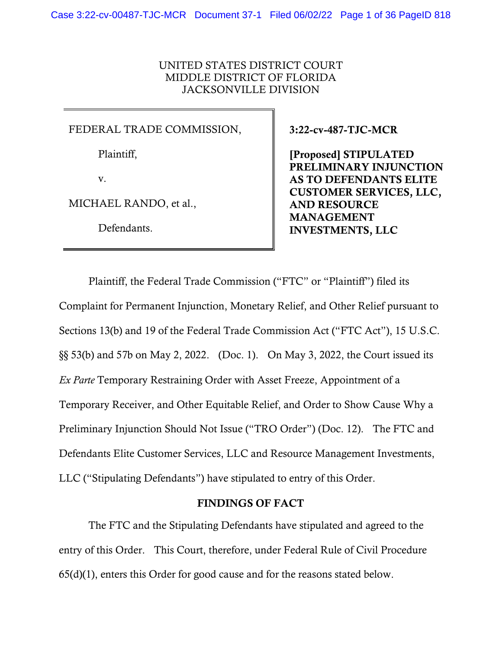## UNITED STATES DISTRICT COURT MIDDLE DISTRICT OF FLORIDA JACKSONVILLE DIVISION

#### FEDERAL TRADE COMMISSION,

Plaintiff,

v.

MICHAEL RANDO, et al.,

Defendants.

3:22-cv-487-TJC-MCR

[Proposed] STIPULATED PRELIMINARY INJUNCTION AS TO DEFENDANTS ELITE CUSTOMER SERVICES, LLC, AND RESOURCE MANAGEMENT INVESTMENTS, LLC

Plaintiff, the Federal Trade Commission ("FTC" or "Plaintiff") filed its Complaint for Permanent Injunction, Monetary Relief, and Other Relief pursuant to Sections 13(b) and 19 of the Federal Trade Commission Act ("FTC Act"), 15 U.S.C. §§ 53(b) and 57b on May 2, 2022. (Doc. 1). On May 3, 2022, the Court issued its *Ex Parte* Temporary Restraining Order with Asset Freeze, Appointment of a Temporary Receiver, and Other Equitable Relief, and Order to Show Cause Why a Preliminary Injunction Should Not Issue ("TRO Order") (Doc. 12). The FTC and Defendants Elite Customer Services, LLC and Resource Management Investments, LLC ("Stipulating Defendants") have stipulated to entry of this Order.

#### FINDINGS OF FACT

The FTC and the Stipulating Defendants have stipulated and agreed to the entry of this Order. This Court, therefore, under Federal Rule of Civil Procedure 65(d)(1), enters this Order for good cause and for the reasons stated below.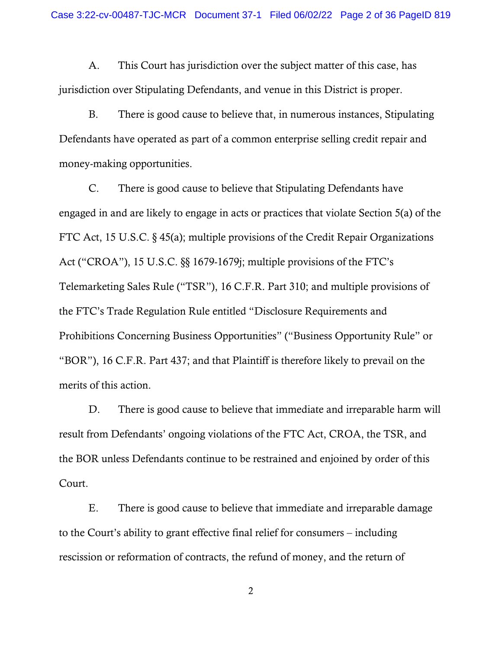A. This Court has jurisdiction over the subject matter of this case, has jurisdiction over Stipulating Defendants, and venue in this District is proper.

B. There is good cause to believe that, in numerous instances, Stipulating Defendants have operated as part of a common enterprise selling credit repair and money-making opportunities.

C. There is good cause to believe that Stipulating Defendants have engaged in and are likely to engage in acts or practices that violate Section 5(a) of the FTC Act, 15 U.S.C. § 45(a); multiple provisions of the Credit Repair Organizations Act ("CROA"), 15 U.S.C. §§ 1679-1679j; multiple provisions of the FTC's Telemarketing Sales Rule ("TSR"), 16 C.F.R. Part 310; and multiple provisions of the FTC's Trade Regulation Rule entitled "Disclosure Requirements and Prohibitions Concerning Business Opportunities" ("Business Opportunity Rule" or "BOR"), 16 C.F.R. Part 437; and that Plaintiff is therefore likely to prevail on the merits of this action.

D. There is good cause to believe that immediate and irreparable harm will result from Defendants' ongoing violations of the FTC Act, CROA, the TSR, and the BOR unless Defendants continue to be restrained and enjoined by order of this Court.

E. There is good cause to believe that immediate and irreparable damage to the Court's ability to grant effective final relief for consumers – including rescission or reformation of contracts, the refund of money, and the return of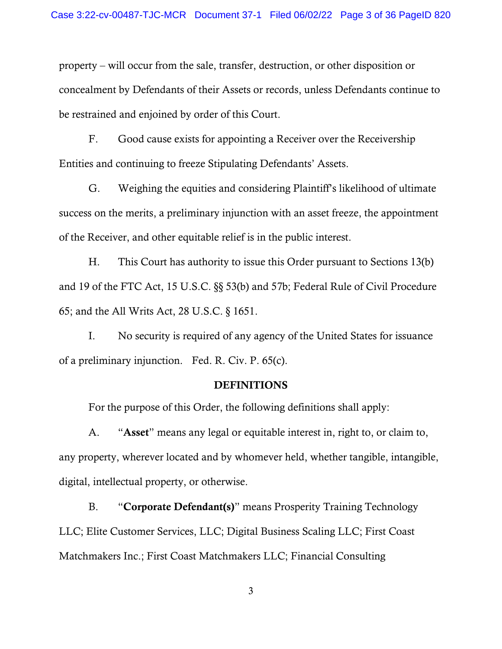property – will occur from the sale, transfer, destruction, or other disposition or concealment by Defendants of their Assets or records, unless Defendants continue to be restrained and enjoined by order of this Court.

F. Good cause exists for appointing a Receiver over the Receivership Entities and continuing to freeze Stipulating Defendants' Assets.

G. Weighing the equities and considering Plaintiff's likelihood of ultimate success on the merits, a preliminary injunction with an asset freeze, the appointment of the Receiver, and other equitable relief is in the public interest.

H. This Court has authority to issue this Order pursuant to Sections 13(b) and 19 of the FTC Act, 15 U.S.C. §§ 53(b) and 57b; Federal Rule of Civil Procedure 65; and the All Writs Act, 28 U.S.C. § 1651.

I. No security is required of any agency of the United States for issuance of a preliminary injunction. Fed. R. Civ. P. 65(c).

#### DEFINITIONS

For the purpose of this Order, the following definitions shall apply:

A. "Asset" means any legal or equitable interest in, right to, or claim to, any property, wherever located and by whomever held, whether tangible, intangible, digital, intellectual property, or otherwise.

B. "Corporate Defendant(s)" means Prosperity Training Technology LLC; Elite Customer Services, LLC; Digital Business Scaling LLC; First Coast Matchmakers Inc.; First Coast Matchmakers LLC; Financial Consulting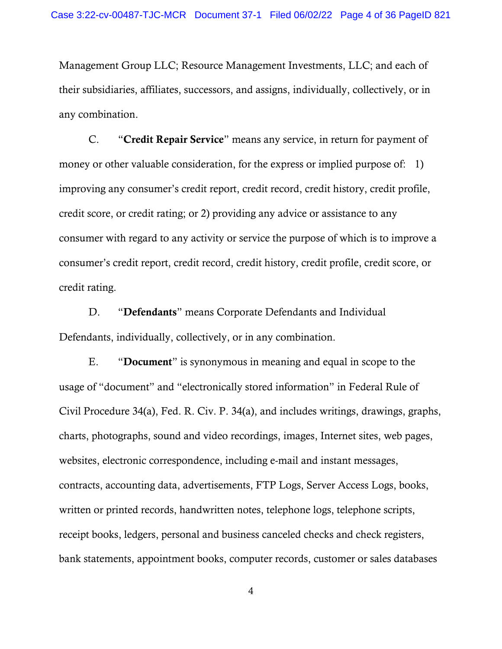Management Group LLC; Resource Management Investments, LLC; and each of their subsidiaries, affiliates, successors, and assigns, individually, collectively, or in any combination.

C. "Credit Repair Service" means any service, in return for payment of money or other valuable consideration, for the express or implied purpose of: 1) improving any consumer's credit report, credit record, credit history, credit profile, credit score, or credit rating; or 2) providing any advice or assistance to any consumer with regard to any activity or service the purpose of which is to improve a consumer's credit report, credit record, credit history, credit profile, credit score, or credit rating.

D. "Defendants" means Corporate Defendants and Individual Defendants, individually, collectively, or in any combination.

E. "Document" is synonymous in meaning and equal in scope to the usage of "document" and "electronically stored information" in Federal Rule of Civil Procedure 34(a), Fed. R. Civ. P. 34(a), and includes writings, drawings, graphs, charts, photographs, sound and video recordings, images, Internet sites, web pages, websites, electronic correspondence, including e-mail and instant messages, contracts, accounting data, advertisements, FTP Logs, Server Access Logs, books, written or printed records, handwritten notes, telephone logs, telephone scripts, receipt books, ledgers, personal and business canceled checks and check registers, bank statements, appointment books, computer records, customer or sales databases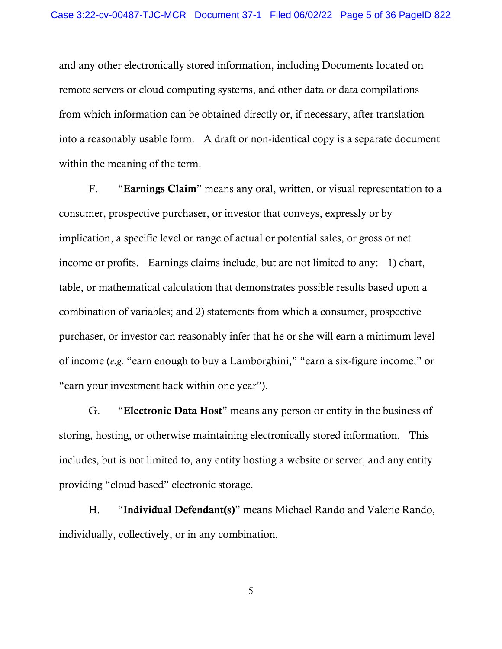and any other electronically stored information, including Documents located on remote servers or cloud computing systems, and other data or data compilations from which information can be obtained directly or, if necessary, after translation into a reasonably usable form. A draft or non-identical copy is a separate document within the meaning of the term.

F. "Earnings Claim" means any oral, written, or visual representation to a consumer, prospective purchaser, or investor that conveys, expressly or by implication, a specific level or range of actual or potential sales, or gross or net income or profits. Earnings claims include, but are not limited to any: 1) chart, table, or mathematical calculation that demonstrates possible results based upon a combination of variables; and 2) statements from which a consumer, prospective purchaser, or investor can reasonably infer that he or she will earn a minimum level of income (*e.g.* "earn enough to buy a Lamborghini," "earn a six-figure income," or "earn your investment back within one year").

G. "Electronic Data Host" means any person or entity in the business of storing, hosting, or otherwise maintaining electronically stored information. This includes, but is not limited to, any entity hosting a website or server, and any entity providing "cloud based" electronic storage.

H. "Individual Defendant(s)" means Michael Rando and Valerie Rando, individually, collectively, or in any combination.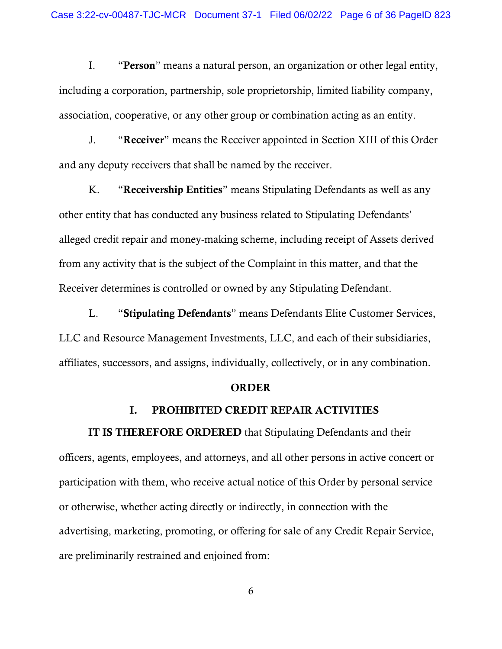I. "Person" means a natural person, an organization or other legal entity, including a corporation, partnership, sole proprietorship, limited liability company, association, cooperative, or any other group or combination acting as an entity.

J. "Receiver" means the Receiver appointed in Section [XIII](#page-22-0) of this Order and any deputy receivers that shall be named by the receiver.

K. "Receivership Entities" means Stipulating Defendants as well as any other entity that has conducted any business related to Stipulating Defendants' alleged credit repair and money-making scheme, including receipt of Assets derived from any activity that is the subject of the Complaint in this matter, and that the Receiver determines is controlled or owned by any Stipulating Defendant.

L. "Stipulating Defendants" means Defendants Elite Customer Services, LLC and Resource Management Investments, LLC, and each of their subsidiaries, affiliates, successors, and assigns, individually, collectively, or in any combination.

#### ORDER

#### I. PROHIBITED CREDIT REPAIR ACTIVITIES

IT IS THEREFORE ORDERED that Stipulating Defendants and their officers, agents, employees, and attorneys, and all other persons in active concert or participation with them, who receive actual notice of this Order by personal service or otherwise, whether acting directly or indirectly, in connection with the advertising, marketing, promoting, or offering for sale of any Credit Repair Service, are preliminarily restrained and enjoined from: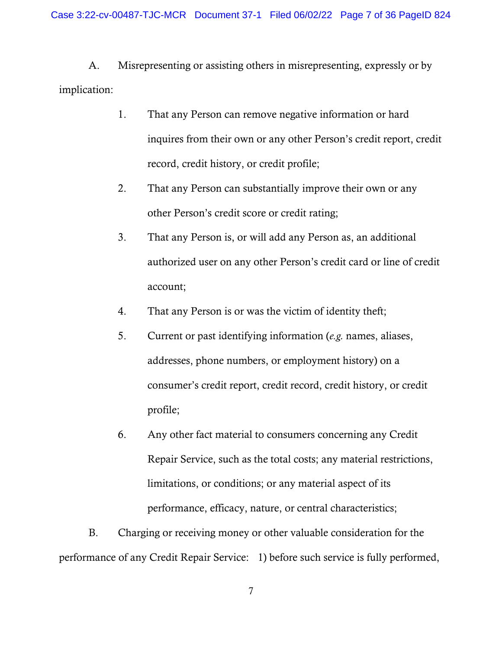A. Misrepresenting or assisting others in misrepresenting, expressly or by implication:

- 1. That any Person can remove negative information or hard inquires from their own or any other Person's credit report, credit record, credit history, or credit profile;
- 2. That any Person can substantially improve their own or any other Person's credit score or credit rating;
- 3. That any Person is, or will add any Person as, an additional authorized user on any other Person's credit card or line of credit account;
- 4. That any Person is or was the victim of identity theft;
- 5. Current or past identifying information (*e.g.* names, aliases, addresses, phone numbers, or employment history) on a consumer's credit report, credit record, credit history, or credit profile;
- 6. Any other fact material to consumers concerning any Credit Repair Service, such as the total costs; any material restrictions, limitations, or conditions; or any material aspect of its performance, efficacy, nature, or central characteristics;

B. Charging or receiving money or other valuable consideration for the performance of any Credit Repair Service: 1) before such service is fully performed,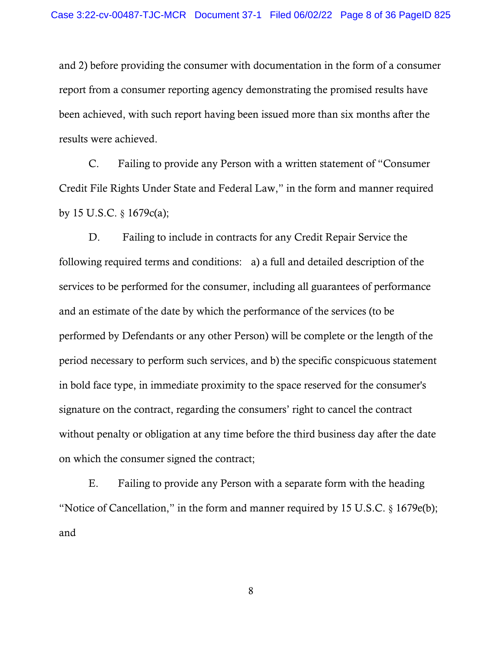and 2) before providing the consumer with documentation in the form of a consumer report from a consumer reporting agency demonstrating the promised results have been achieved, with such report having been issued more than six months after the results were achieved.

C. Failing to provide any Person with a written statement of "Consumer Credit File Rights Under State and Federal Law," in the form and manner required by 15 U.S.C. § 1679c(a);

D. Failing to include in contracts for any Credit Repair Service the following required terms and conditions: a) a full and detailed description of the services to be performed for the consumer, including all guarantees of performance and an estimate of the date by which the performance of the services (to be performed by Defendants or any other Person) will be complete or the length of the period necessary to perform such services, and b) the specific conspicuous statement in bold face type, in immediate proximity to the space reserved for the consumer's signature on the contract, regarding the consumers' right to cancel the contract without penalty or obligation at any time before the third business day after the date on which the consumer signed the contract;

E. Failing to provide any Person with a separate form with the heading "Notice of Cancellation," in the form and manner required by 15 U.S.C.  $\S$  1679e(b); and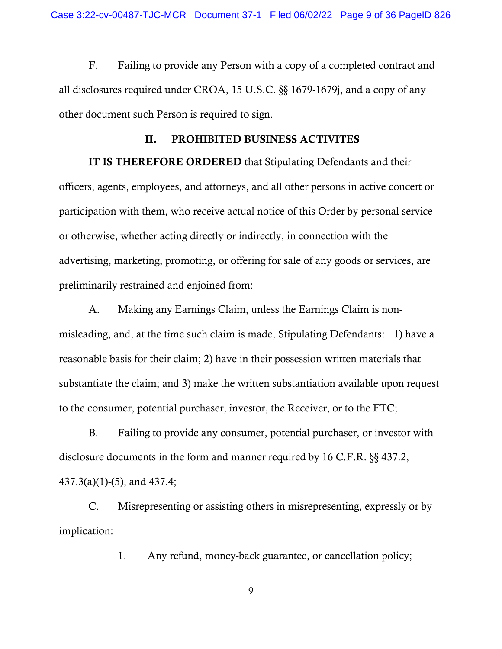F. Failing to provide any Person with a copy of a completed contract and all disclosures required under CROA, 15 U.S.C. §§ 1679-1679j, and a copy of any other document such Person is required to sign.

#### II. PROHIBITED BUSINESS ACTIVITES

IT IS THEREFORE ORDERED that Stipulating Defendants and their officers, agents, employees, and attorneys, and all other persons in active concert or participation with them, who receive actual notice of this Order by personal service or otherwise, whether acting directly or indirectly, in connection with the advertising, marketing, promoting, or offering for sale of any goods or services, are preliminarily restrained and enjoined from:

A. Making any Earnings Claim, unless the Earnings Claim is nonmisleading, and, at the time such claim is made, Stipulating Defendants: 1) have a reasonable basis for their claim; 2) have in their possession written materials that substantiate the claim; and 3) make the written substantiation available upon request to the consumer, potential purchaser, investor, the Receiver, or to the FTC;

B. Failing to provide any consumer, potential purchaser, or investor with disclosure documents in the form and manner required by 16 C.F.R. §§ 437.2, 437.3(a)(1)-(5), and 437.4;

C. Misrepresenting or assisting others in misrepresenting, expressly or by implication:

1. Any refund, money-back guarantee, or cancellation policy;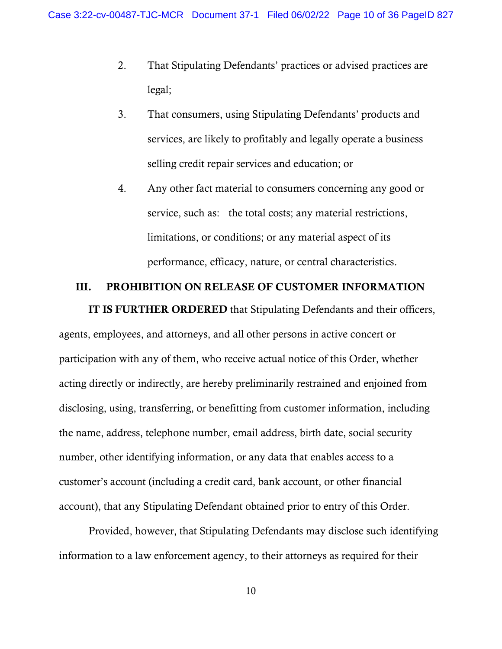- 2. That Stipulating Defendants' practices or advised practices are legal;
- 3. That consumers, using Stipulating Defendants' products and services, are likely to profitably and legally operate a business selling credit repair services and education; or
- 4. Any other fact material to consumers concerning any good or service, such as: the total costs; any material restrictions, limitations, or conditions; or any material aspect of its performance, efficacy, nature, or central characteristics.

### III. PROHIBITION ON RELEASE OF CUSTOMER INFORMATION

IT IS FURTHER ORDERED that Stipulating Defendants and their officers, agents, employees, and attorneys, and all other persons in active concert or participation with any of them, who receive actual notice of this Order, whether acting directly or indirectly, are hereby preliminarily restrained and enjoined from disclosing, using, transferring, or benefitting from customer information, including the name, address, telephone number, email address, birth date, social security number, other identifying information, or any data that enables access to a customer's account (including a credit card, bank account, or other financial account), that any Stipulating Defendant obtained prior to entry of this Order.

Provided, however, that Stipulating Defendants may disclose such identifying information to a law enforcement agency, to their attorneys as required for their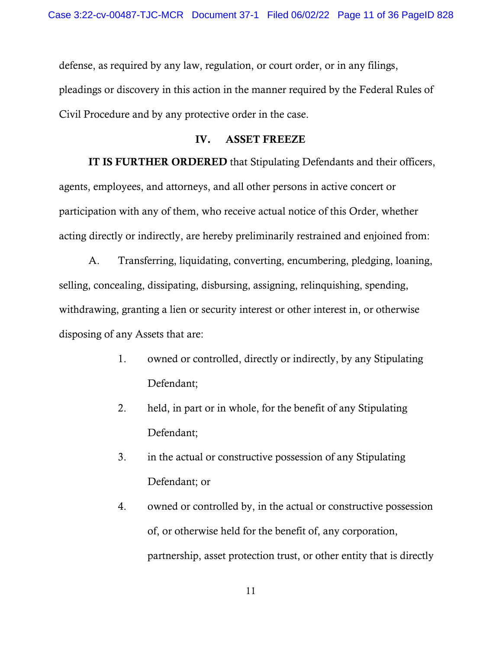defense, as required by any law, regulation, or court order, or in any filings, pleadings or discovery in this action in the manner required by the Federal Rules of Civil Procedure and by any protective order in the case.

### IV. ASSET FREEZE

IT IS FURTHER ORDERED that Stipulating Defendants and their officers, agents, employees, and attorneys, and all other persons in active concert or participation with any of them, who receive actual notice of this Order, whether acting directly or indirectly, are hereby preliminarily restrained and enjoined from:

A. Transferring, liquidating, converting, encumbering, pledging, loaning, selling, concealing, dissipating, disbursing, assigning, relinquishing, spending, withdrawing, granting a lien or security interest or other interest in, or otherwise disposing of any Assets that are:

- 1. owned or controlled, directly or indirectly, by any Stipulating Defendant;
- 2. held, in part or in whole, for the benefit of any Stipulating Defendant;
- 3. in the actual or constructive possession of any Stipulating Defendant; or
- 4. owned or controlled by, in the actual or constructive possession of, or otherwise held for the benefit of, any corporation, partnership, asset protection trust, or other entity that is directly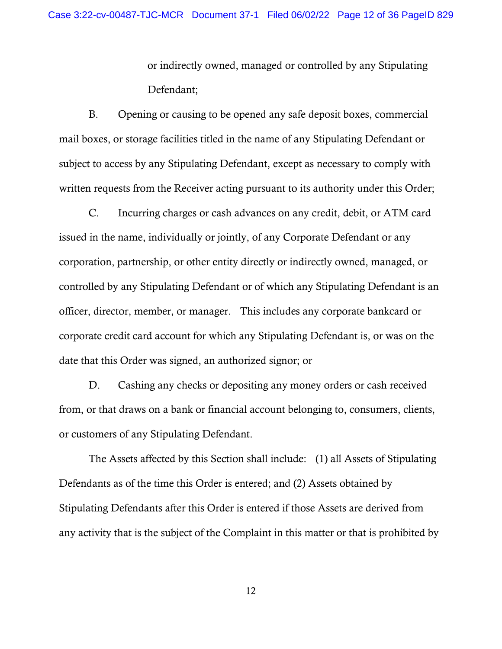or indirectly owned, managed or controlled by any Stipulating Defendant;

B. Opening or causing to be opened any safe deposit boxes, commercial mail boxes, or storage facilities titled in the name of any Stipulating Defendant or subject to access by any Stipulating Defendant, except as necessary to comply with written requests from the Receiver acting pursuant to its authority under this Order;

C. Incurring charges or cash advances on any credit, debit, or ATM card issued in the name, individually or jointly, of any Corporate Defendant or any corporation, partnership, or other entity directly or indirectly owned, managed, or controlled by any Stipulating Defendant or of which any Stipulating Defendant is an officer, director, member, or manager. This includes any corporate bankcard or corporate credit card account for which any Stipulating Defendant is, or was on the date that this Order was signed, an authorized signor; or

D. Cashing any checks or depositing any money orders or cash received from, or that draws on a bank or financial account belonging to, consumers, clients, or customers of any Stipulating Defendant.

The Assets affected by this Section shall include: (1) all Assets of Stipulating Defendants as of the time this Order is entered; and (2) Assets obtained by Stipulating Defendants after this Order is entered if those Assets are derived from any activity that is the subject of the Complaint in this matter or that is prohibited by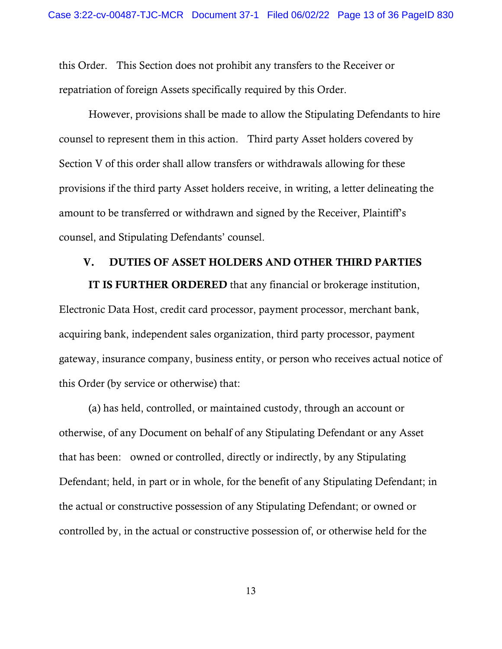this Order. This Section does not prohibit any transfers to the Receiver or repatriation of foreign Assets specifically required by this Order.

However, provisions shall be made to allow the Stipulating Defendants to hire counsel to represent them in this action. Third party Asset holders covered by Section [V](#page-15-0) of this order shall allow transfers or withdrawals allowing for these provisions if the third party Asset holders receive, in writing, a letter delineating the amount to be transferred or withdrawn and signed by the Receiver, Plaintiff's counsel, and Stipulating Defendants' counsel.

#### V. DUTIES OF ASSET HOLDERS AND OTHER THIRD PARTIES

<span id="page-15-0"></span>IT IS FURTHER ORDERED that any financial or brokerage institution, Electronic Data Host, credit card processor, payment processor, merchant bank, acquiring bank, independent sales organization, third party processor, payment gateway, insurance company, business entity, or person who receives actual notice of this Order (by service or otherwise) that:

(a) has held, controlled, or maintained custody, through an account or otherwise, of any Document on behalf of any Stipulating Defendant or any Asset that has been: owned or controlled, directly or indirectly, by any Stipulating Defendant; held, in part or in whole, for the benefit of any Stipulating Defendant; in the actual or constructive possession of any Stipulating Defendant; or owned or controlled by, in the actual or constructive possession of, or otherwise held for the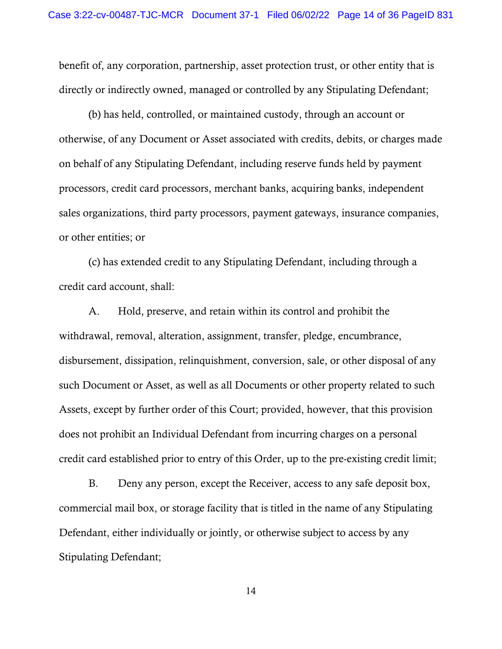benefit of, any corporation, partnership, asset protection trust, or other entity that is directly or indirectly owned, managed or controlled by any Stipulating Defendant;

(b) has held, controlled, or maintained custody, through an account or otherwise, of any Document or Asset associated with credits, debits, or charges made on behalf of any Stipulating Defendant, including reserve funds held by payment processors, credit card processors, merchant banks, acquiring banks, independent sales organizations, third party processors, payment gateways, insurance companies, or other entities; or

(c) has extended credit to any Stipulating Defendant, including through a credit card account, shall:

A. Hold, preserve, and retain within its control and prohibit the withdrawal, removal, alteration, assignment, transfer, pledge, encumbrance, disbursement, dissipation, relinquishment, conversion, sale, or other disposal of any such Document or Asset, as well as all Documents or other property related to such Assets, except by further order of this Court; provided, however, that this provision does not prohibit an Individual Defendant from incurring charges on a personal credit card established prior to entry of this Order, up to the pre-existing credit limit;

B. Deny any person, except the Receiver, access to any safe deposit box, commercial mail box, or storage facility that is titled in the name of any Stipulating Defendant, either individually or jointly, or otherwise subject to access by any Stipulating Defendant;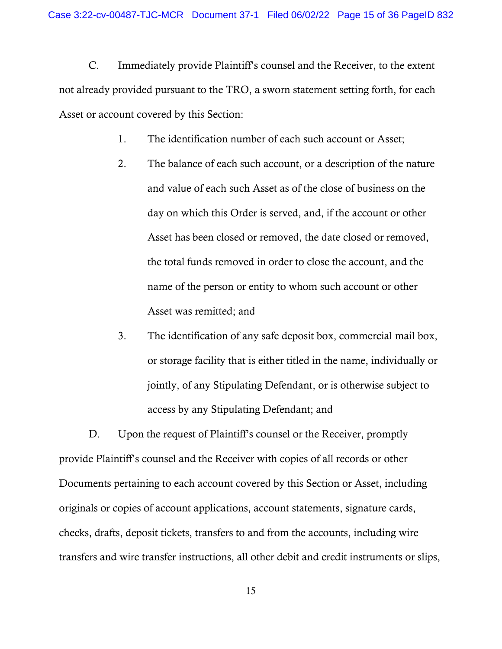C. Immediately provide Plaintiff's counsel and the Receiver, to the extent not already provided pursuant to the TRO, a sworn statement setting forth, for each Asset or account covered by this Section:

- 1. The identification number of each such account or Asset;
- 2. The balance of each such account, or a description of the nature and value of each such Asset as of the close of business on the day on which this Order is served, and, if the account or other Asset has been closed or removed, the date closed or removed, the total funds removed in order to close the account, and the name of the person or entity to whom such account or other Asset was remitted; and
- 3. The identification of any safe deposit box, commercial mail box, or storage facility that is either titled in the name, individually or jointly, of any Stipulating Defendant, or is otherwise subject to access by any Stipulating Defendant; and

D. Upon the request of Plaintiff's counsel or the Receiver, promptly provide Plaintiff's counsel and the Receiver with copies of all records or other Documents pertaining to each account covered by this Section or Asset, including originals or copies of account applications, account statements, signature cards, checks, drafts, deposit tickets, transfers to and from the accounts, including wire transfers and wire transfer instructions, all other debit and credit instruments or slips,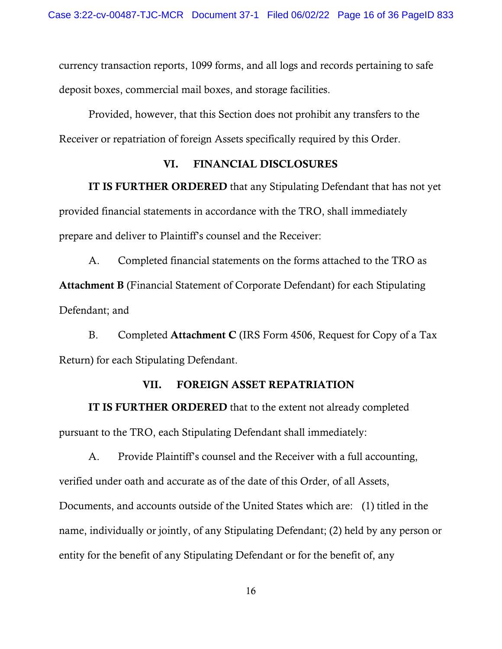currency transaction reports, 1099 forms, and all logs and records pertaining to safe deposit boxes, commercial mail boxes, and storage facilities.

Provided, however, that this Section does not prohibit any transfers to the Receiver or repatriation of foreign Assets specifically required by this Order.

## VI. FINANCIAL DISCLOSURES

IT IS FURTHER ORDERED that any Stipulating Defendant that has not yet provided financial statements in accordance with the TRO, shall immediately prepare and deliver to Plaintiff's counsel and the Receiver:

A. Completed financial statements on the forms attached to the TRO as Attachment B (Financial Statement of Corporate Defendant) for each Stipulating Defendant; and

B. Completed Attachment C (IRS Form 4506, Request for Copy of a Tax Return) for each Stipulating Defendant.

## VII. FOREIGN ASSET REPATRIATION

IT IS FURTHER ORDERED that to the extent not already completed pursuant to the TRO, each Stipulating Defendant shall immediately:

A. Provide Plaintiff's counsel and the Receiver with a full accounting, verified under oath and accurate as of the date of this Order, of all Assets, Documents, and accounts outside of the United States which are: (1) titled in the name, individually or jointly, of any Stipulating Defendant; (2) held by any person or entity for the benefit of any Stipulating Defendant or for the benefit of, any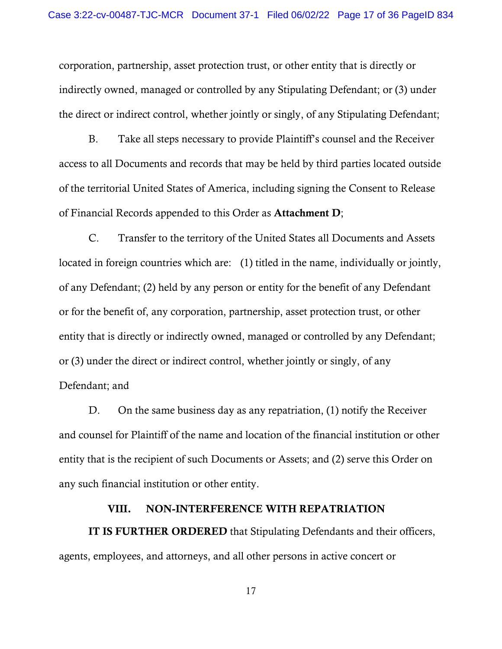corporation, partnership, asset protection trust, or other entity that is directly or indirectly owned, managed or controlled by any Stipulating Defendant; or (3) under the direct or indirect control, whether jointly or singly, of any Stipulating Defendant;

B. Take all steps necessary to provide Plaintiff's counsel and the Receiver access to all Documents and records that may be held by third parties located outside of the territorial United States of America, including signing the Consent to Release of Financial Records appended to this Order as Attachment D;

C. Transfer to the territory of the United States all Documents and Assets located in foreign countries which are: (1) titled in the name, individually or jointly, of any Defendant; (2) held by any person or entity for the benefit of any Defendant or for the benefit of, any corporation, partnership, asset protection trust, or other entity that is directly or indirectly owned, managed or controlled by any Defendant; or (3) under the direct or indirect control, whether jointly or singly, of any Defendant; and

D. On the same business day as any repatriation, (1) notify the Receiver and counsel for Plaintiff of the name and location of the financial institution or other entity that is the recipient of such Documents or Assets; and (2) serve this Order on any such financial institution or other entity.

#### VIII. NON-INTERFERENCE WITH REPATRIATION

IT IS FURTHER ORDERED that Stipulating Defendants and their officers, agents, employees, and attorneys, and all other persons in active concert or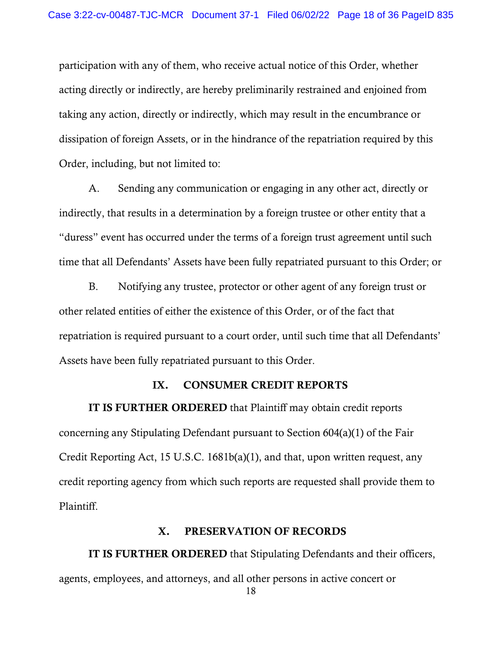participation with any of them, who receive actual notice of this Order, whether acting directly or indirectly, are hereby preliminarily restrained and enjoined from taking any action, directly or indirectly, which may result in the encumbrance or dissipation of foreign Assets, or in the hindrance of the repatriation required by this Order, including, but not limited to:

A. Sending any communication or engaging in any other act, directly or indirectly, that results in a determination by a foreign trustee or other entity that a "duress" event has occurred under the terms of a foreign trust agreement until such time that all Defendants' Assets have been fully repatriated pursuant to this Order; or

B. Notifying any trustee, protector or other agent of any foreign trust or other related entities of either the existence of this Order, or of the fact that repatriation is required pursuant to a court order, until such time that all Defendants' Assets have been fully repatriated pursuant to this Order.

### IX. CONSUMER CREDIT REPORTS

IT IS FURTHER ORDERED that Plaintiff may obtain credit reports concerning any Stipulating Defendant pursuant to Section 604(a)(1) of the Fair Credit Reporting Act, 15 U.S.C. 1681b(a)(1), and that, upon written request, any credit reporting agency from which such reports are requested shall provide them to Plaintiff.

#### X. PRESERVATION OF RECORDS

IT IS FURTHER ORDERED that Stipulating Defendants and their officers, agents, employees, and attorneys, and all other persons in active concert or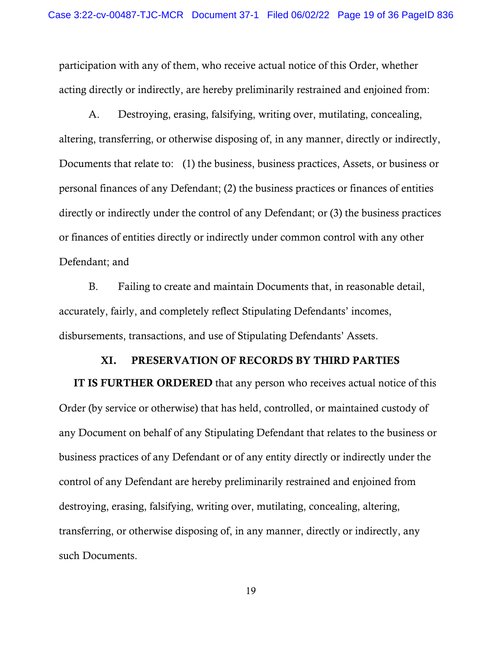participation with any of them, who receive actual notice of this Order, whether acting directly or indirectly, are hereby preliminarily restrained and enjoined from:

A. Destroying, erasing, falsifying, writing over, mutilating, concealing, altering, transferring, or otherwise disposing of, in any manner, directly or indirectly, Documents that relate to: (1) the business, business practices, Assets, or business or personal finances of any Defendant; (2) the business practices or finances of entities directly or indirectly under the control of any Defendant; or (3) the business practices or finances of entities directly or indirectly under common control with any other Defendant; and

B. Failing to create and maintain Documents that, in reasonable detail, accurately, fairly, and completely reflect Stipulating Defendants' incomes, disbursements, transactions, and use of Stipulating Defendants' Assets.

### XI. PRESERVATION OF RECORDS BY THIRD PARTIES

IT IS FURTHER ORDERED that any person who receives actual notice of this Order (by service or otherwise) that has held, controlled, or maintained custody of any Document on behalf of any Stipulating Defendant that relates to the business or business practices of any Defendant or of any entity directly or indirectly under the control of any Defendant are hereby preliminarily restrained and enjoined from destroying, erasing, falsifying, writing over, mutilating, concealing, altering, transferring, or otherwise disposing of, in any manner, directly or indirectly, any such Documents.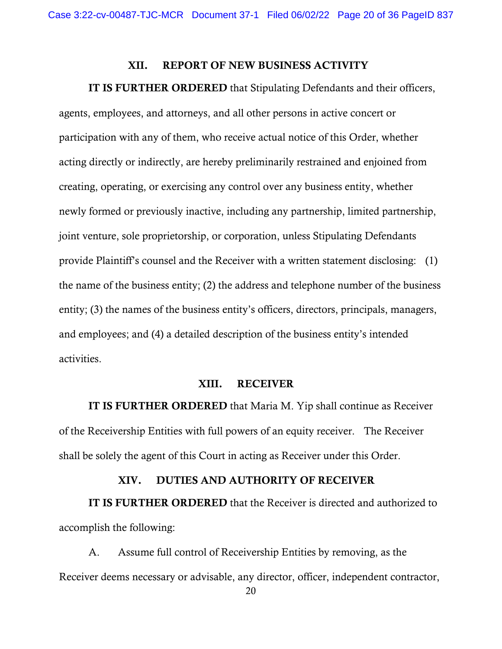#### XII. REPORT OF NEW BUSINESS ACTIVITY

#### IT IS FURTHER ORDERED that Stipulating Defendants and their officers,

agents, employees, and attorneys, and all other persons in active concert or participation with any of them, who receive actual notice of this Order, whether acting directly or indirectly, are hereby preliminarily restrained and enjoined from creating, operating, or exercising any control over any business entity, whether newly formed or previously inactive, including any partnership, limited partnership, joint venture, sole proprietorship, or corporation, unless Stipulating Defendants provide Plaintiff's counsel and the Receiver with a written statement disclosing: (1) the name of the business entity; (2) the address and telephone number of the business entity; (3) the names of the business entity's officers, directors, principals, managers, and employees; and (4) a detailed description of the business entity's intended activities.

#### XIII. RECEIVER

<span id="page-22-0"></span>IT IS FURTHER ORDERED that Maria M. Yip shall continue as Receiver of the Receivership Entities with full powers of an equity receiver. The Receiver shall be solely the agent of this Court in acting as Receiver under this Order.

### XIV. DUTIES AND AUTHORITY OF RECEIVER

IT IS FURTHER ORDERED that the Receiver is directed and authorized to accomplish the following:

A. Assume full control of Receivership Entities by removing, as the Receiver deems necessary or advisable, any director, officer, independent contractor,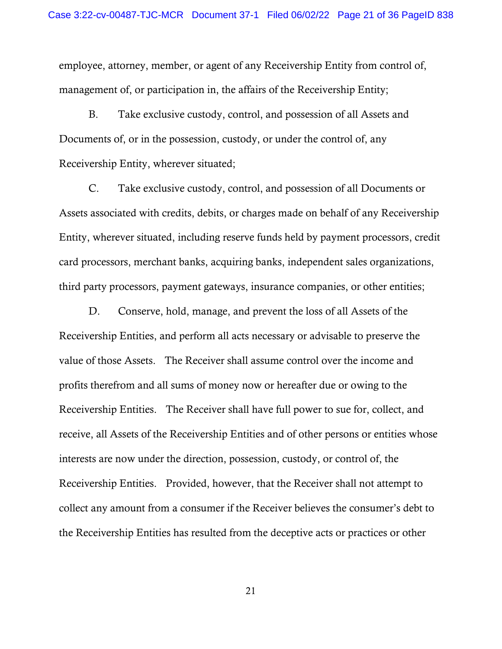employee, attorney, member, or agent of any Receivership Entity from control of, management of, or participation in, the affairs of the Receivership Entity;

B. Take exclusive custody, control, and possession of all Assets and Documents of, or in the possession, custody, or under the control of, any Receivership Entity, wherever situated;

C. Take exclusive custody, control, and possession of all Documents or Assets associated with credits, debits, or charges made on behalf of any Receivership Entity, wherever situated, including reserve funds held by payment processors, credit card processors, merchant banks, acquiring banks, independent sales organizations, third party processors, payment gateways, insurance companies, or other entities;

D. Conserve, hold, manage, and prevent the loss of all Assets of the Receivership Entities, and perform all acts necessary or advisable to preserve the value of those Assets. The Receiver shall assume control over the income and profits therefrom and all sums of money now or hereafter due or owing to the Receivership Entities. The Receiver shall have full power to sue for, collect, and receive, all Assets of the Receivership Entities and of other persons or entities whose interests are now under the direction, possession, custody, or control of, the Receivership Entities. Provided, however, that the Receiver shall not attempt to collect any amount from a consumer if the Receiver believes the consumer's debt to the Receivership Entities has resulted from the deceptive acts or practices or other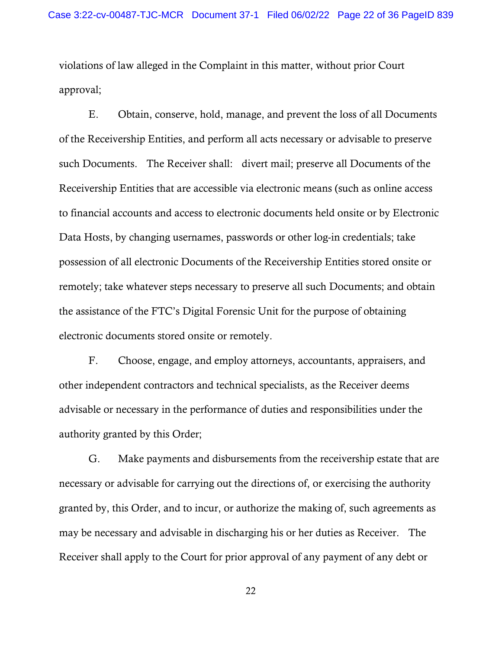violations of law alleged in the Complaint in this matter, without prior Court approval;

E. Obtain, conserve, hold, manage, and prevent the loss of all Documents of the Receivership Entities, and perform all acts necessary or advisable to preserve such Documents. The Receiver shall: divert mail; preserve all Documents of the Receivership Entities that are accessible via electronic means (such as online access to financial accounts and access to electronic documents held onsite or by Electronic Data Hosts, by changing usernames, passwords or other log-in credentials; take possession of all electronic Documents of the Receivership Entities stored onsite or remotely; take whatever steps necessary to preserve all such Documents; and obtain the assistance of the FTC's Digital Forensic Unit for the purpose of obtaining electronic documents stored onsite or remotely.

F. Choose, engage, and employ attorneys, accountants, appraisers, and other independent contractors and technical specialists, as the Receiver deems advisable or necessary in the performance of duties and responsibilities under the authority granted by this Order;

G. Make payments and disbursements from the receivership estate that are necessary or advisable for carrying out the directions of, or exercising the authority granted by, this Order, and to incur, or authorize the making of, such agreements as may be necessary and advisable in discharging his or her duties as Receiver. The Receiver shall apply to the Court for prior approval of any payment of any debt or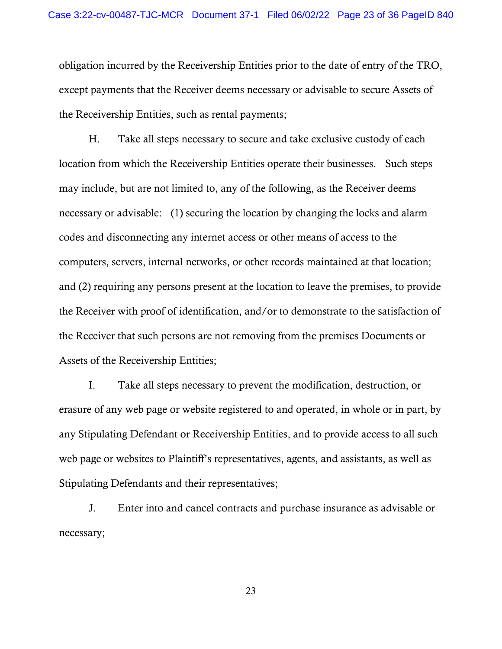obligation incurred by the Receivership Entities prior to the date of entry of the TRO, except payments that the Receiver deems necessary or advisable to secure Assets of the Receivership Entities, such as rental payments;

H. Take all steps necessary to secure and take exclusive custody of each location from which the Receivership Entities operate their businesses. Such steps may include, but are not limited to, any of the following, as the Receiver deems necessary or advisable: (1) securing the location by changing the locks and alarm codes and disconnecting any internet access or other means of access to the computers, servers, internal networks, or other records maintained at that location; and (2) requiring any persons present at the location to leave the premises, to provide the Receiver with proof of identification, and/or to demonstrate to the satisfaction of the Receiver that such persons are not removing from the premises Documents or Assets of the Receivership Entities;

I. Take all steps necessary to prevent the modification, destruction, or erasure of any web page or website registered to and operated, in whole or in part, by any Stipulating Defendant or Receivership Entities, and to provide access to all such web page or websites to Plaintiff's representatives, agents, and assistants, as well as Stipulating Defendants and their representatives;

J. Enter into and cancel contracts and purchase insurance as advisable or necessary;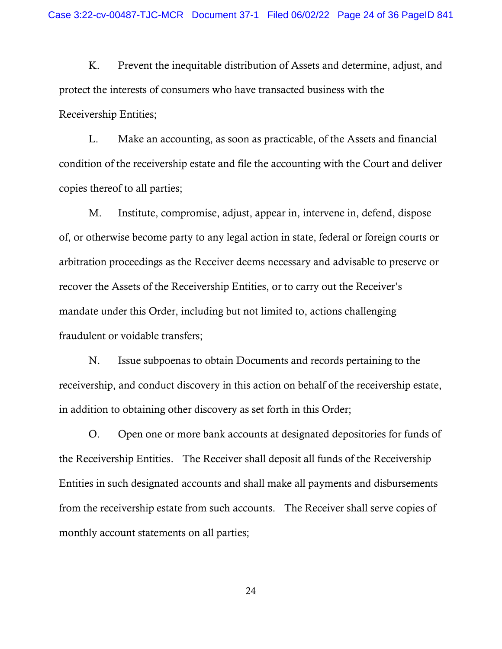K. Prevent the inequitable distribution of Assets and determine, adjust, and protect the interests of consumers who have transacted business with the Receivership Entities;

L. Make an accounting, as soon as practicable, of the Assets and financial condition of the receivership estate and file the accounting with the Court and deliver copies thereof to all parties;

M. Institute, compromise, adjust, appear in, intervene in, defend, dispose of, or otherwise become party to any legal action in state, federal or foreign courts or arbitration proceedings as the Receiver deems necessary and advisable to preserve or recover the Assets of the Receivership Entities, or to carry out the Receiver's mandate under this Order, including but not limited to, actions challenging fraudulent or voidable transfers;

N. Issue subpoenas to obtain Documents and records pertaining to the receivership, and conduct discovery in this action on behalf of the receivership estate, in addition to obtaining other discovery as set forth in this Order;

O. Open one or more bank accounts at designated depositories for funds of the Receivership Entities. The Receiver shall deposit all funds of the Receivership Entities in such designated accounts and shall make all payments and disbursements from the receivership estate from such accounts. The Receiver shall serve copies of monthly account statements on all parties;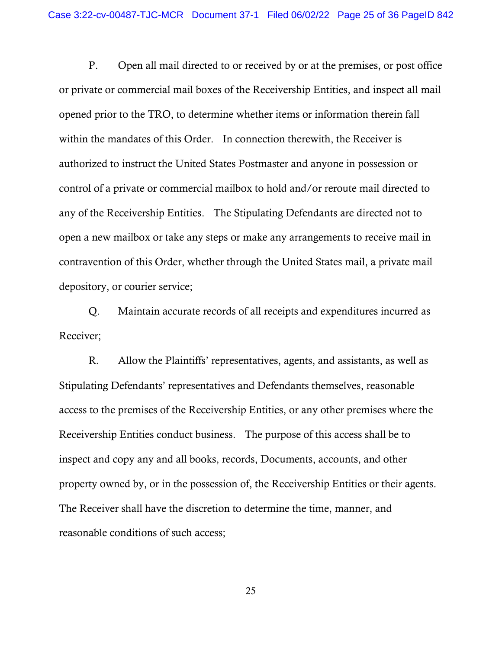P. Open all mail directed to or received by or at the premises, or post office or private or commercial mail boxes of the Receivership Entities, and inspect all mail opened prior to the TRO, to determine whether items or information therein fall within the mandates of this Order. In connection therewith, the Receiver is authorized to instruct the United States Postmaster and anyone in possession or control of a private or commercial mailbox to hold and/or reroute mail directed to any of the Receivership Entities. The Stipulating Defendants are directed not to open a new mailbox or take any steps or make any arrangements to receive mail in contravention of this Order, whether through the United States mail, a private mail depository, or courier service;

Q. Maintain accurate records of all receipts and expenditures incurred as Receiver;

R. Allow the Plaintiffs' representatives, agents, and assistants, as well as Stipulating Defendants' representatives and Defendants themselves, reasonable access to the premises of the Receivership Entities, or any other premises where the Receivership Entities conduct business. The purpose of this access shall be to inspect and copy any and all books, records, Documents, accounts, and other property owned by, or in the possession of, the Receivership Entities or their agents. The Receiver shall have the discretion to determine the time, manner, and reasonable conditions of such access;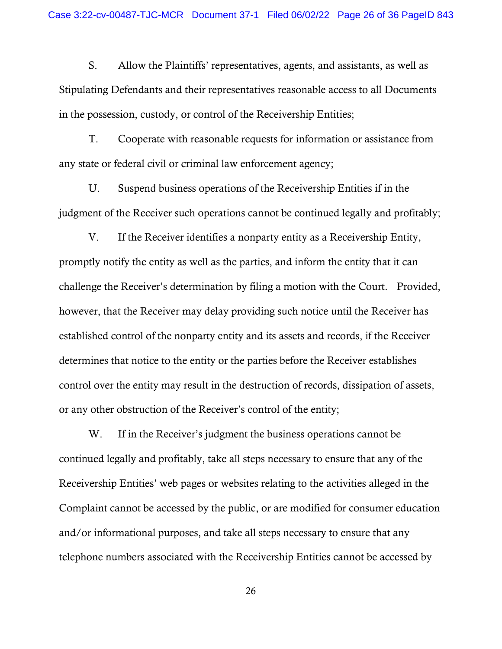S. Allow the Plaintiffs' representatives, agents, and assistants, as well as Stipulating Defendants and their representatives reasonable access to all Documents in the possession, custody, or control of the Receivership Entities;

T. Cooperate with reasonable requests for information or assistance from any state or federal civil or criminal law enforcement agency;

U. Suspend business operations of the Receivership Entities if in the judgment of the Receiver such operations cannot be continued legally and profitably;

V. If the Receiver identifies a nonparty entity as a Receivership Entity, promptly notify the entity as well as the parties, and inform the entity that it can challenge the Receiver's determination by filing a motion with the Court. Provided, however, that the Receiver may delay providing such notice until the Receiver has established control of the nonparty entity and its assets and records, if the Receiver determines that notice to the entity or the parties before the Receiver establishes control over the entity may result in the destruction of records, dissipation of assets, or any other obstruction of the Receiver's control of the entity;

W. If in the Receiver's judgment the business operations cannot be continued legally and profitably, take all steps necessary to ensure that any of the Receivership Entities' web pages or websites relating to the activities alleged in the Complaint cannot be accessed by the public, or are modified for consumer education and/or informational purposes, and take all steps necessary to ensure that any telephone numbers associated with the Receivership Entities cannot be accessed by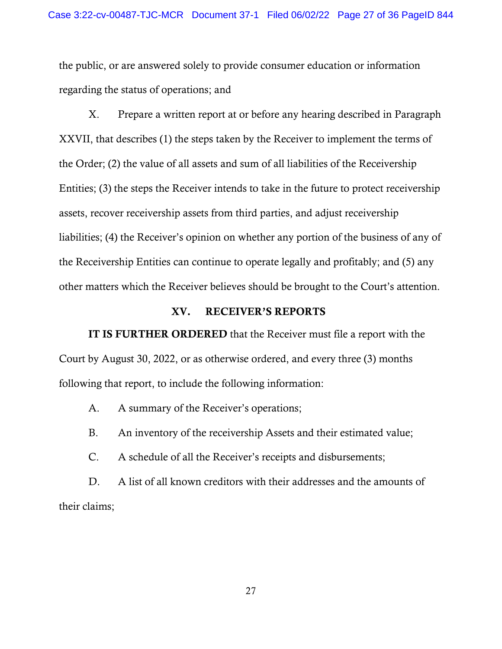the public, or are answered solely to provide consumer education or information regarding the status of operations; and

X. Prepare a written report at or before any hearing described in Paragraph XXVII, that describes (1) the steps taken by the Receiver to implement the terms of the Order; (2) the value of all assets and sum of all liabilities of the Receivership Entities; (3) the steps the Receiver intends to take in the future to protect receivership assets, recover receivership assets from third parties, and adjust receivership liabilities; (4) the Receiver's opinion on whether any portion of the business of any of the Receivership Entities can continue to operate legally and profitably; and (5) any other matters which the Receiver believes should be brought to the Court's attention.

## XV. RECEIVER'S REPORTS

IT IS FURTHER ORDERED that the Receiver must file a report with the Court by August 30, 2022, or as otherwise ordered, and every three (3) months following that report, to include the following information:

A. A summary of the Receiver's operations;

B. An inventory of the receivership Assets and their estimated value;

C. A schedule of all the Receiver's receipts and disbursements;

D. A list of all known creditors with their addresses and the amounts of their claims;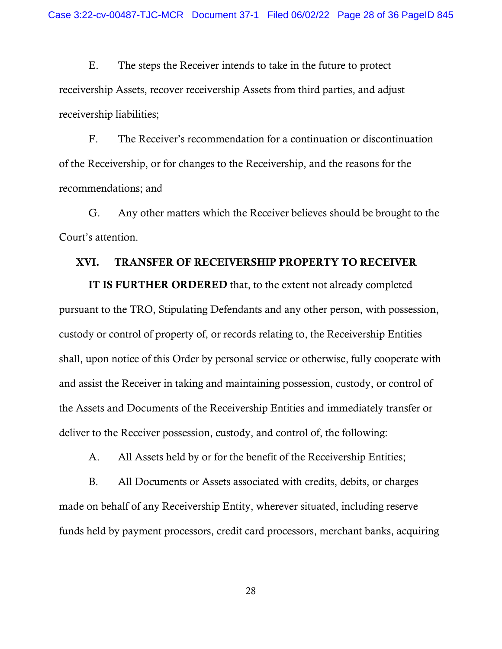E. The steps the Receiver intends to take in the future to protect receivership Assets, recover receivership Assets from third parties, and adjust receivership liabilities;

F. The Receiver's recommendation for a continuation or discontinuation of the Receivership, or for changes to the Receivership, and the reasons for the recommendations; and

G. Any other matters which the Receiver believes should be brought to the Court's attention.

### XVI. TRANSFER OF RECEIVERSHIP PROPERTY TO RECEIVER

IT IS FURTHER ORDERED that, to the extent not already completed pursuant to the TRO, Stipulating Defendants and any other person, with possession, custody or control of property of, or records relating to, the Receivership Entities shall, upon notice of this Order by personal service or otherwise, fully cooperate with and assist the Receiver in taking and maintaining possession, custody, or control of the Assets and Documents of the Receivership Entities and immediately transfer or deliver to the Receiver possession, custody, and control of, the following:

A. All Assets held by or for the benefit of the Receivership Entities;

B. All Documents or Assets associated with credits, debits, or charges made on behalf of any Receivership Entity, wherever situated, including reserve funds held by payment processors, credit card processors, merchant banks, acquiring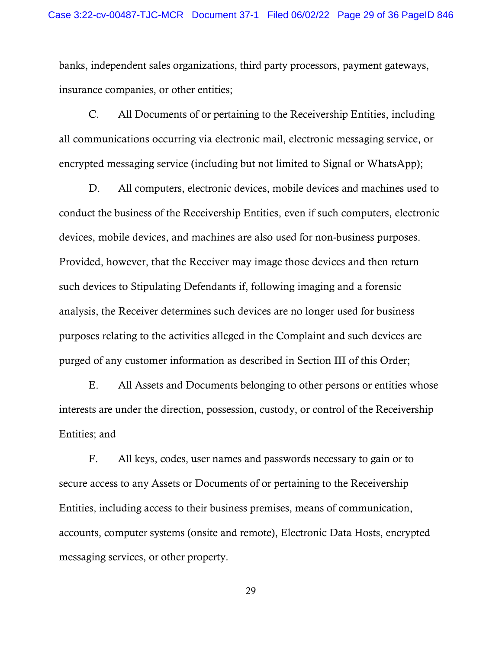banks, independent sales organizations, third party processors, payment gateways, insurance companies, or other entities;

C. All Documents of or pertaining to the Receivership Entities, including all communications occurring via electronic mail, electronic messaging service, or encrypted messaging service (including but not limited to Signal or WhatsApp);

D. All computers, electronic devices, mobile devices and machines used to conduct the business of the Receivership Entities, even if such computers, electronic devices, mobile devices, and machines are also used for non-business purposes. Provided, however, that the Receiver may image those devices and then return such devices to Stipulating Defendants if, following imaging and a forensic analysis, the Receiver determines such devices are no longer used for business purposes relating to the activities alleged in the Complaint and such devices are purged of any customer information as described in Section III of this Order;

E. All Assets and Documents belonging to other persons or entities whose interests are under the direction, possession, custody, or control of the Receivership Entities; and

F. All keys, codes, user names and passwords necessary to gain or to secure access to any Assets or Documents of or pertaining to the Receivership Entities, including access to their business premises, means of communication, accounts, computer systems (onsite and remote), Electronic Data Hosts, encrypted messaging services, or other property.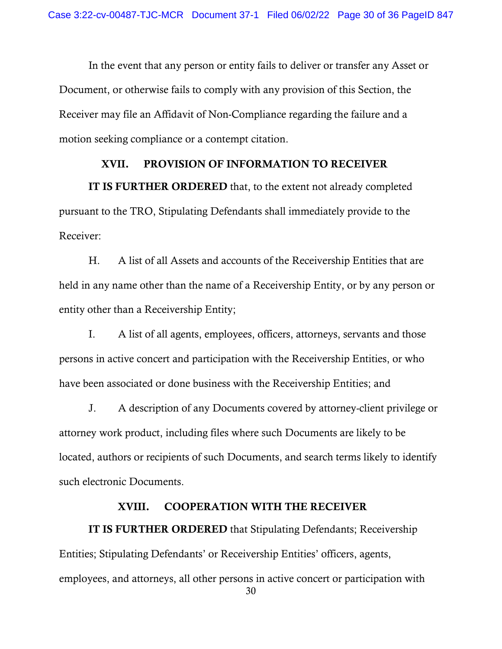In the event that any person or entity fails to deliver or transfer any Asset or Document, or otherwise fails to comply with any provision of this Section, the Receiver may file an Affidavit of Non-Compliance regarding the failure and a motion seeking compliance or a contempt citation.

# XVII. PROVISION OF INFORMATION TO RECEIVER

IT IS FURTHER ORDERED that, to the extent not already completed pursuant to the TRO, Stipulating Defendants shall immediately provide to the Receiver:

H. A list of all Assets and accounts of the Receivership Entities that are held in any name other than the name of a Receivership Entity, or by any person or entity other than a Receivership Entity;

I. A list of all agents, employees, officers, attorneys, servants and those persons in active concert and participation with the Receivership Entities, or who have been associated or done business with the Receivership Entities; and

J. A description of any Documents covered by attorney-client privilege or attorney work product, including files where such Documents are likely to be located, authors or recipients of such Documents, and search terms likely to identify such electronic Documents.

## XVIII. COOPERATION WITH THE RECEIVER

IT IS FURTHER ORDERED that Stipulating Defendants; Receivership Entities; Stipulating Defendants' or Receivership Entities' officers, agents, employees, and attorneys, all other persons in active concert or participation with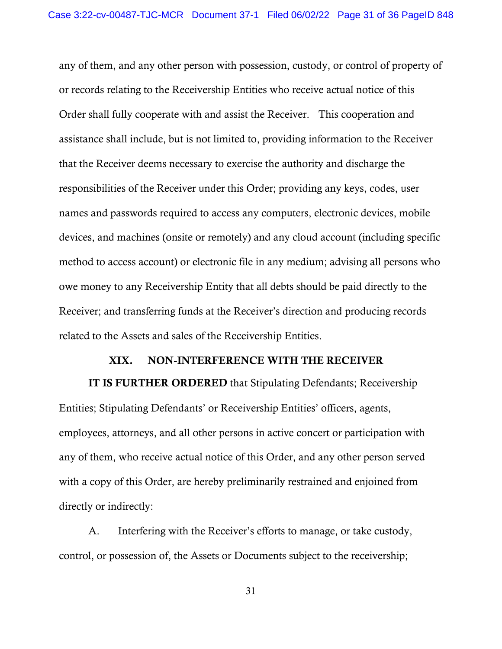any of them, and any other person with possession, custody, or control of property of or records relating to the Receivership Entities who receive actual notice of this Order shall fully cooperate with and assist the Receiver. This cooperation and assistance shall include, but is not limited to, providing information to the Receiver that the Receiver deems necessary to exercise the authority and discharge the responsibilities of the Receiver under this Order; providing any keys, codes, user names and passwords required to access any computers, electronic devices, mobile devices, and machines (onsite or remotely) and any cloud account (including specific method to access account) or electronic file in any medium; advising all persons who owe money to any Receivership Entity that all debts should be paid directly to the Receiver; and transferring funds at the Receiver's direction and producing records related to the Assets and sales of the Receivership Entities.

### XIX. NON-INTERFERENCE WITH THE RECEIVER

IT IS FURTHER ORDERED that Stipulating Defendants; Receivership Entities; Stipulating Defendants' or Receivership Entities' officers, agents, employees, attorneys, and all other persons in active concert or participation with any of them, who receive actual notice of this Order, and any other person served with a copy of this Order, are hereby preliminarily restrained and enjoined from directly or indirectly:

A. Interfering with the Receiver's efforts to manage, or take custody, control, or possession of, the Assets or Documents subject to the receivership;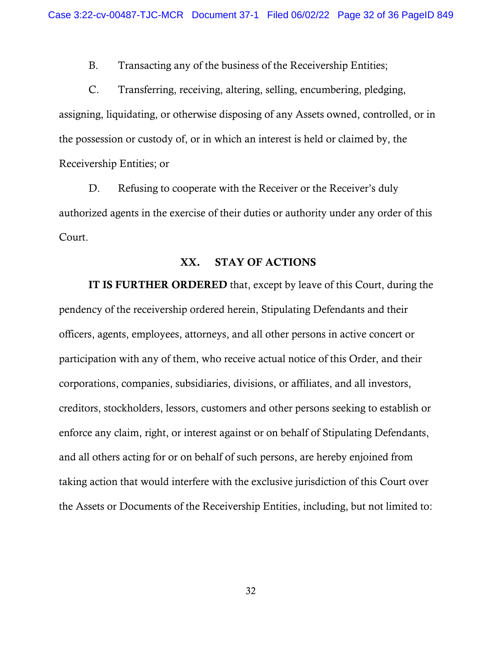B. Transacting any of the business of the Receivership Entities;

C. Transferring, receiving, altering, selling, encumbering, pledging, assigning, liquidating, or otherwise disposing of any Assets owned, controlled, or in the possession or custody of, or in which an interest is held or claimed by, the Receivership Entities; or

D. Refusing to cooperate with the Receiver or the Receiver's duly authorized agents in the exercise of their duties or authority under any order of this Court.

### XX. STAY OF ACTIONS

IT IS FURTHER ORDERED that, except by leave of this Court, during the pendency of the receivership ordered herein, Stipulating Defendants and their officers, agents, employees, attorneys, and all other persons in active concert or participation with any of them, who receive actual notice of this Order, and their corporations, companies, subsidiaries, divisions, or affiliates, and all investors, creditors, stockholders, lessors, customers and other persons seeking to establish or enforce any claim, right, or interest against or on behalf of Stipulating Defendants, and all others acting for or on behalf of such persons, are hereby enjoined from taking action that would interfere with the exclusive jurisdiction of this Court over the Assets or Documents of the Receivership Entities, including, but not limited to: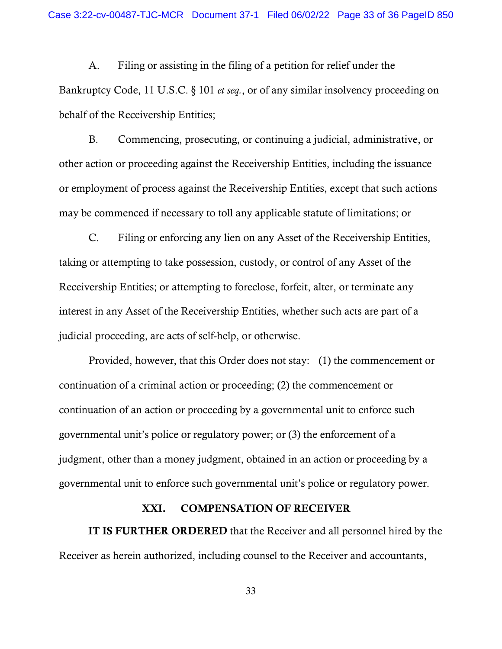A. Filing or assisting in the filing of a petition for relief under the Bankruptcy Code, 11 U.S.C. § 101 *et seq.*, or of any similar insolvency proceeding on behalf of the Receivership Entities;

B. Commencing, prosecuting, or continuing a judicial, administrative, or other action or proceeding against the Receivership Entities, including the issuance or employment of process against the Receivership Entities, except that such actions may be commenced if necessary to toll any applicable statute of limitations; or

C. Filing or enforcing any lien on any Asset of the Receivership Entities, taking or attempting to take possession, custody, or control of any Asset of the Receivership Entities; or attempting to foreclose, forfeit, alter, or terminate any interest in any Asset of the Receivership Entities, whether such acts are part of a judicial proceeding, are acts of self-help, or otherwise.

Provided, however, that this Order does not stay: (1) the commencement or continuation of a criminal action or proceeding; (2) the commencement or continuation of an action or proceeding by a governmental unit to enforce such governmental unit's police or regulatory power; or (3) the enforcement of a judgment, other than a money judgment, obtained in an action or proceeding by a governmental unit to enforce such governmental unit's police or regulatory power.

#### XXI. COMPENSATION OF RECEIVER

IT IS FURTHER ORDERED that the Receiver and all personnel hired by the Receiver as herein authorized, including counsel to the Receiver and accountants,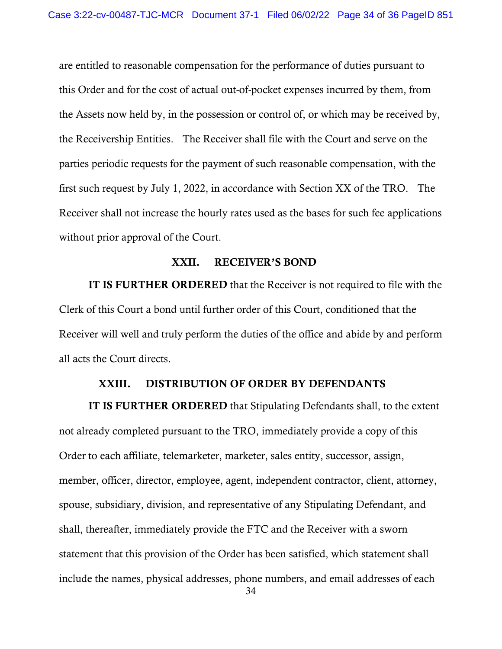are entitled to reasonable compensation for the performance of duties pursuant to this Order and for the cost of actual out-of-pocket expenses incurred by them, from the Assets now held by, in the possession or control of, or which may be received by, the Receivership Entities. The Receiver shall file with the Court and serve on the parties periodic requests for the payment of such reasonable compensation, with the first such request by July 1, 2022, in accordance with Section XX of the TRO. The Receiver shall not increase the hourly rates used as the bases for such fee applications without prior approval of the Court.

#### XXII. RECEIVER'S BOND

IT IS FURTHER ORDERED that the Receiver is not required to file with the Clerk of this Court a bond until further order of this Court, conditioned that the Receiver will well and truly perform the duties of the office and abide by and perform all acts the Court directs.

### XXIII. DISTRIBUTION OF ORDER BY DEFENDANTS

IT IS FURTHER ORDERED that Stipulating Defendants shall, to the extent not already completed pursuant to the TRO, immediately provide a copy of this Order to each affiliate, telemarketer, marketer, sales entity, successor, assign, member, officer, director, employee, agent, independent contractor, client, attorney, spouse, subsidiary, division, and representative of any Stipulating Defendant, and shall, thereafter, immediately provide the FTC and the Receiver with a sworn statement that this provision of the Order has been satisfied, which statement shall include the names, physical addresses, phone numbers, and email addresses of each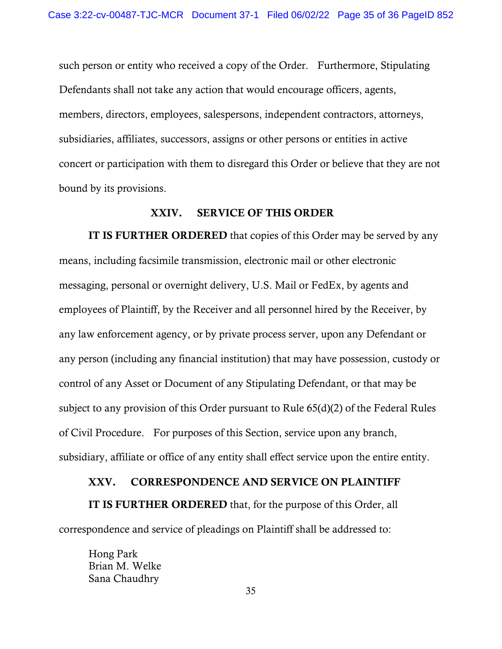such person or entity who received a copy of the Order. Furthermore, Stipulating Defendants shall not take any action that would encourage officers, agents, members, directors, employees, salespersons, independent contractors, attorneys, subsidiaries, affiliates, successors, assigns or other persons or entities in active concert or participation with them to disregard this Order or believe that they are not bound by its provisions.

## XXIV. SERVICE OF THIS ORDER

IT IS FURTHER ORDERED that copies of this Order may be served by any means, including facsimile transmission, electronic mail or other electronic messaging, personal or overnight delivery, U.S. Mail or FedEx, by agents and employees of Plaintiff, by the Receiver and all personnel hired by the Receiver, by any law enforcement agency, or by private process server, upon any Defendant or any person (including any financial institution) that may have possession, custody or control of any Asset or Document of any Stipulating Defendant, or that may be subject to any provision of this Order pursuant to Rule 65(d)(2) of the Federal Rules of Civil Procedure. For purposes of this Section, service upon any branch, subsidiary, affiliate or office of any entity shall effect service upon the entire entity.

#### XXV. CORRESPONDENCE AND SERVICE ON PLAINTIFF

IT IS FURTHER ORDERED that, for the purpose of this Order, all correspondence and service of pleadings on Plaintiff shall be addressed to:

Hong Park Brian M. Welke Sana Chaudhry